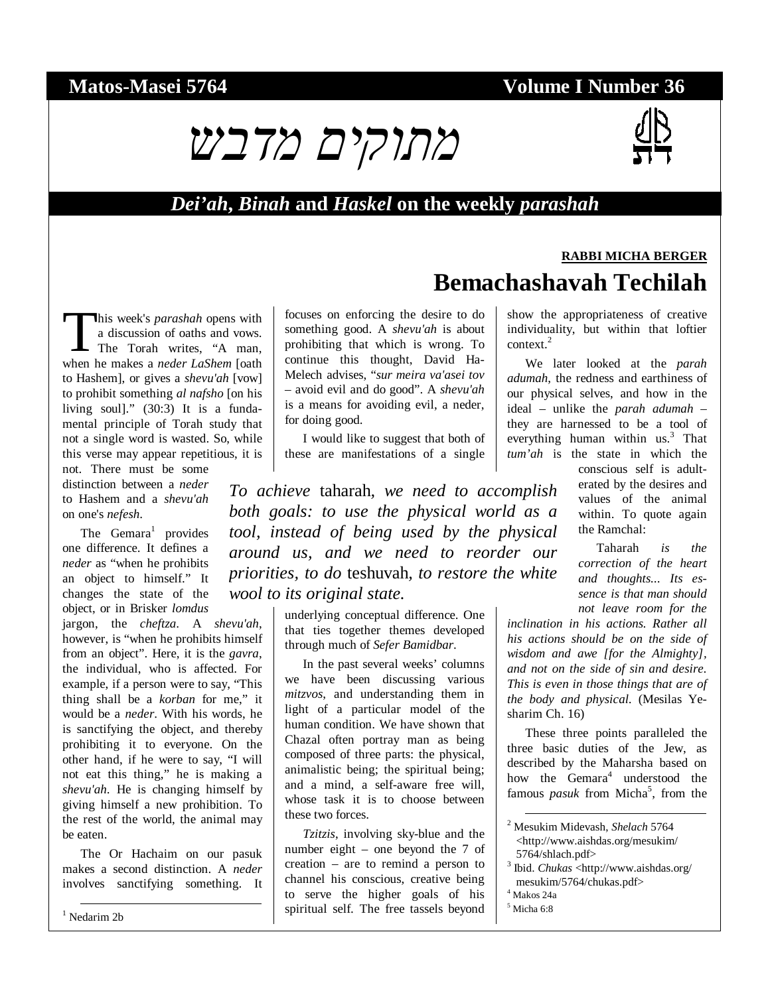#### **Matos-Masei 5764 Volume I Number 36**

# מתוקים מדבש



**RABBI MICHA BERGER**

#### *Dei'ah***,** *Binah* **and** *Haskel* **on the weekly** *parashah*

his week's *parashah* opens with a discussion of oaths and vows. The Torah writes, "A man, his week's *parashah* opens with<br>a discussion of oaths and vows.<br>The Torah writes, "A man,<br>when he makes a *neder LaShem* [oath to Hashem], or gives a *shevu'ah* [vow] to prohibit something *al nafsho* [on his living soul]." (30:3) It is a fundamental principle of Torah study that not a single word is wasted. So, while this verse may appear repetitious, it is

not. There must be some distinction between a *neder*  to Hashem and a *shevu'ah*  on one's *nefesh*.

The Gemara<sup>1</sup> provides one difference. It defines a *neder* as "when he prohibits an object to himself." It changes the state of the object, or in Brisker *lomdus*

jargon, the *cheftza*. A *shevu'ah*, however, is "when he prohibits himself from an object". Here, it is the *gavra*, the individual, who is affected. For example, if a person were to say, "This thing shall be a *korban* for me," it would be a *neder*. With his words, he is sanctifying the object, and thereby prohibiting it to everyone. On the other hand, if he were to say, "I will not eat this thing," he is making a *shevu'ah*. He is changing himself by giving himself a new prohibition. To the rest of the world, the animal may be eaten.

The Or Hachaim on our pasuk makes a second distinction. A *neder*  involves sanctifying something. It

1 Nedarim 2b

focuses on enforcing the desire to do something good. A *shevu'ah* is about prohibiting that which is wrong. To continue this thought, David Ha-Melech advises, "*sur meira va'asei tov*  – avoid evil and do good". A *shevu'ah*  is a means for avoiding evil, a neder, for doing good.

I would like to suggest that both of these are manifestations of a single

*To achieve* taharah*, we need to accomplish both goals: to use the physical world as a tool, instead of being used by the physical around us, and we need to reorder our priorities, to do* teshuvah*, to restore the white wool to its original state.*

> underlying conceptual difference. One that ties together themes developed through much of *Sefer Bamidbar*.

In the past several weeks' columns we have been discussing various *mitzvos*, and understanding them in light of a particular model of the human condition. We have shown that Chazal often portray man as being composed of three parts: the physical, animalistic being; the spiritual being; and a mind, a self-aware free will, whose task it is to choose between these two forces.

*Tzitzis*, involving sky-blue and the number eight – one beyond the 7 of creation – are to remind a person to channel his conscious, creative being to serve the higher goals of his spiritual self. The free tassels beyond

show the appropriateness of creative individuality, but within that loftier context.<sup>2</sup>

**Bemachashavah Techilah** 

We later looked at the *parah adumah*, the redness and earthiness of our physical selves, and how in the ideal – unlike the *parah adumah* – they are harnessed to be a tool of everything human within us.<sup>3</sup> That *tum'ah* is the state in which the

conscious self is adulterated by the desires and values of the animal within. To quote again the Ramchal:

Taharah *is the correction of the heart and thoughts... Its essence is that man should not leave room for the* 

*inclination in his actions. Rather all his actions should be on the side of wisdom and awe [for the Almighty], and not on the side of sin and desire. This is even in those things that are of the body and physical.* (Mesilas Yesharim Ch. 16)

These three points paralleled the three basic duties of the Jew, as described by the Maharsha based on how the Gemara<sup>4</sup> understood the famous *pasuk* from Micha<sup>5</sup>, from the

- 4 Makos 24a
- 5 Micha 6:8

 <sup>2</sup> Mesukim Midevash, *Shelach* 5764 <http://www.aishdas.org/mesukim/ 5764/shlach.pdf>

<sup>3</sup> Ibid. *Chukas* <http://www.aishdas.org/ mesukim/5764/chukas.pdf>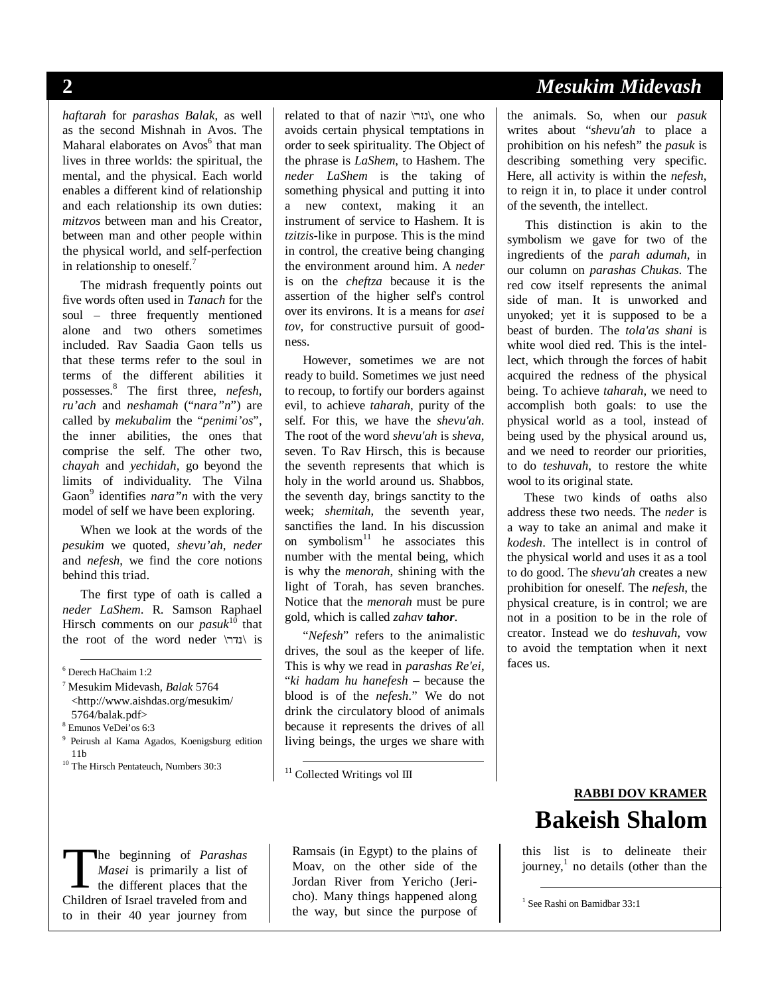*haftarah* for *parashas Balak*, as well as the second Mishnah in Avos. The Maharal elaborates on Avos<sup>6</sup> that man lives in three worlds: the spiritual, the mental, and the physical. Each world enables a different kind of relationship and each relationship its own duties: *mitzvos* between man and his Creator, between man and other people within the physical world, and self-perfection in relationship to oneself.<sup>7</sup>

The midrash frequently points out five words often used in *Tanach* for the soul – three frequently mentioned alone and two others sometimes included. Rav Saadia Gaon tells us that these terms refer to the soul in terms of the different abilities it possesses.<sup>8</sup> The first three, *nefesh*, *ru'ach* and *neshamah* ("*nara"n*") are called by *mekubalim* the "*penimi'os*", the inner abilities, the ones that comprise the self. The other two, *chayah* and *yechidah,* go beyond the limits of individuality*.* The Vilna Gaon<sup>9</sup> identifies *nara*"*n* with the very model of self we have been exploring.

When we look at the words of the *pesukim* we quoted, *shevu'ah*, *neder* and *nefesh*, we find the core notions behind this triad.

The first type of oath is called a *neder LaShem*. R. Samson Raphael Hirsch comments on our *pasuk*<sup>10</sup> that the root of the word neder  $\sum$ is

6 Derech HaChaim 1:2

- <sup>7</sup> Mesukim Midevash, *Balak* 5764 <http://www.aishdas.org/mesukim/ 5764/balak.pdf>
- 8 Emunos VeDei'os 6:3
- 9 Peirush al Kama Agados, Koenigsburg edition  $^{10}$  The Hirsch Pentateuch, Numbers 30:3  $\,$
- 

related to that of nazir \נזר\, one who avoids certain physical temptations in order to seek spirituality. The Object of the phrase is *LaShem*, to Hashem. The *neder LaShem* is the taking of something physical and putting it into a new context, making it an instrument of service to Hashem. It is *tzitzis*-like in purpose. This is the mind in control, the creative being changing the environment around him. A *neder*  is on the *cheftza* because it is the assertion of the higher self's control over its environs. It is a means for *asei tov*, for constructive pursuit of goodness.

However, sometimes we are not ready to build. Sometimes we just need to recoup, to fortify our borders against evil, to achieve *taharah*, purity of the self. For this, we have the *shevu'ah*. The root of the word *shevu'ah* is *sheva*, seven. To Rav Hirsch, this is because the seventh represents that which is holy in the world around us. Shabbos, the seventh day, brings sanctity to the week; *shemitah*, the seventh year, sanctifies the land. In his discussion on symbolism $11$  he associates this number with the mental being, which is why the *menorah*, shining with the light of Torah, has seven branches. Notice that the *menorah* must be pure gold, which is called *zahav tahor*.

"*Nefesh*" refers to the animalistic drives, the soul as the keeper of life. This is why we read in *parashas Re'ei*, "*ki hadam hu hanefesh* – because the blood is of the *nefesh*." We do not drink the circulatory blood of animals because it represents the drives of all living beings, the urges we share with

<sup>11</sup> Collected Writings vol III

he beginning of *Parashas Masei* is primarily a list of the different places that the The beginning of *Parashas*<br> *Masei* is primarily a list of<br>
the different places that the<br>
Children of Israel traveled from and to in their 40 year journey from

Ramsais (in Egypt) to the plains of Moav, on the other side of the Jordan River from Yericho (Jericho). Many things happened along the way, but since the purpose of

#### **2** *Mesukim Midevash*

the animals. So, when our *pasuk*  writes about "*shevu'ah* to place a prohibition on his nefesh" the *pasuk* is describing something very specific. Here, all activity is within the *nefesh*, to reign it in, to place it under control of the seventh, the intellect.

This distinction is akin to the symbolism we gave for two of the ingredients of the *parah adumah*, in our column on *parashas Chukas*. The red cow itself represents the animal side of man. It is unworked and unyoked; yet it is supposed to be a beast of burden. The *tola'as shani* is white wool died red. This is the intellect, which through the forces of habit acquired the redness of the physical being. To achieve *taharah*, we need to accomplish both goals: to use the physical world as a tool, instead of being used by the physical around us, and we need to reorder our priorities, to do *teshuvah*, to restore the white wool to its original state.

These two kinds of oaths also address these two needs. The *neder* is a way to take an animal and make it *kodesh*. The intellect is in control of the physical world and uses it as a tool to do good. The *shevu'ah* creates a new prohibition for oneself. The *nefesh*, the physical creature, is in control; we are not in a position to be in the role of creator. Instead we do *teshuvah*, vow to avoid the temptation when it next faces us.

## **RABBI DOV KRAMER Bakeish Shalom**

this list is to delineate their journey,<sup>1</sup> no details (other than the

 <sup>1</sup> See Rashi on Bamidbar 33:1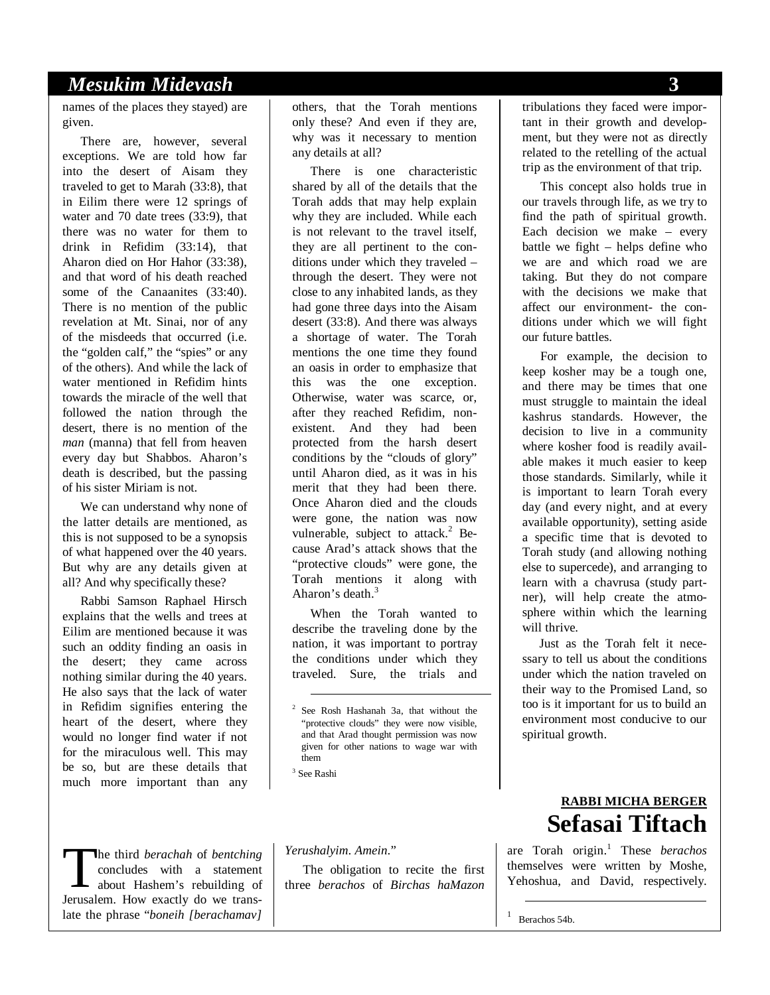#### *Mesukim Midevash* **3**

names of the places they stayed) are given.

There are, however, several exceptions. We are told how far into the desert of Aisam they traveled to get to Marah (33:8), that in Eilim there were 12 springs of water and 70 date trees (33:9), that there was no water for them to drink in Refidim (33:14), that Aharon died on Hor Hahor (33:38), and that word of his death reached some of the Canaanites (33:40). There is no mention of the public revelation at Mt. Sinai, nor of any of the misdeeds that occurred (i.e. the "golden calf," the "spies" or any of the others). And while the lack of water mentioned in Refidim hints towards the miracle of the well that followed the nation through the desert, there is no mention of the *man* (manna) that fell from heaven every day but Shabbos. Aharon's death is described, but the passing of his sister Miriam is not.

We can understand why none of the latter details are mentioned, as this is not supposed to be a synopsis of what happened over the 40 years. But why are any details given at all? And why specifically these?

Rabbi Samson Raphael Hirsch explains that the wells and trees at Eilim are mentioned because it was such an oddity finding an oasis in the desert; they came across nothing similar during the 40 years. He also says that the lack of water in Refidim signifies entering the heart of the desert, where they would no longer find water if not for the miraculous well. This may be so, but are these details that much more important than any

he third *berachah* of *bentching*  concludes with a statement about Hashem's rebuilding of The third *berachah* of *bentching*<br>concludes with a statement<br>about Hashem's rebuilding of<br>Jerusalem. How exactly do we translate the phrase "*boneih [berachamav]*  others, that the Torah mentions only these? And even if they are, why was it necessary to mention any details at all?

There is one characteristic shared by all of the details that the Torah adds that may help explain why they are included. While each is not relevant to the travel itself, they are all pertinent to the conditions under which they traveled – through the desert. They were not close to any inhabited lands, as they had gone three days into the Aisam desert (33:8). And there was always a shortage of water. The Torah mentions the one time they found an oasis in order to emphasize that this was the one exception. Otherwise, water was scarce, or, after they reached Refidim, nonexistent. And they had been protected from the harsh desert conditions by the "clouds of glory" until Aharon died, as it was in his merit that they had been there. Once Aharon died and the clouds were gone, the nation was now vulnerable, subject to attack.<sup>2</sup> Because Arad's attack shows that the "protective clouds" were gone, the Torah mentions it along with Aharon's death.<sup>3</sup>

When the Torah wanted to describe the traveling done by the nation, it was important to portray the conditions under which they traveled. Sure, the trials and

 $^3$  See Rashi $\,$ 

*Yerushalyim*. *Amein*."

The obligation to recite the first three *berachos* of *Birchas haMazon* 

tribulations they faced were important in their growth and development, but they were not as directly related to the retelling of the actual trip as the environment of that trip.

This concept also holds true in our travels through life, as we try to find the path of spiritual growth. Each decision we make – every battle we fight – helps define who we are and which road we are taking. But they do not compare with the decisions we make that affect our environment- the conditions under which we will fight our future battles.

For example, the decision to keep kosher may be a tough one, and there may be times that one must struggle to maintain the ideal kashrus standards. However, the decision to live in a community where kosher food is readily available makes it much easier to keep those standards. Similarly, while it is important to learn Torah every day (and every night, and at every available opportunity), setting aside a specific time that is devoted to Torah study (and allowing nothing else to supercede), and arranging to learn with a chavrusa (study partner), will help create the atmosphere within which the learning will thrive.

Just as the Torah felt it necessary to tell us about the conditions under which the nation traveled on their way to the Promised Land, so too is it important for us to build an environment most conducive to our spiritual growth.

#### **RABBI MICHA BERGER Sefasai Tiftach**

are Torah origin.<sup>1</sup> These *berachos* themselves were written by Moshe, Yehoshua, and David, respectively.

Berachos 54b.

 $\overline{a}$ 

 <sup>2</sup> See Rosh Hashanah 3a, that without the "protective clouds" they were now visible, and that Arad thought permission was now given for other nations to wage war with them